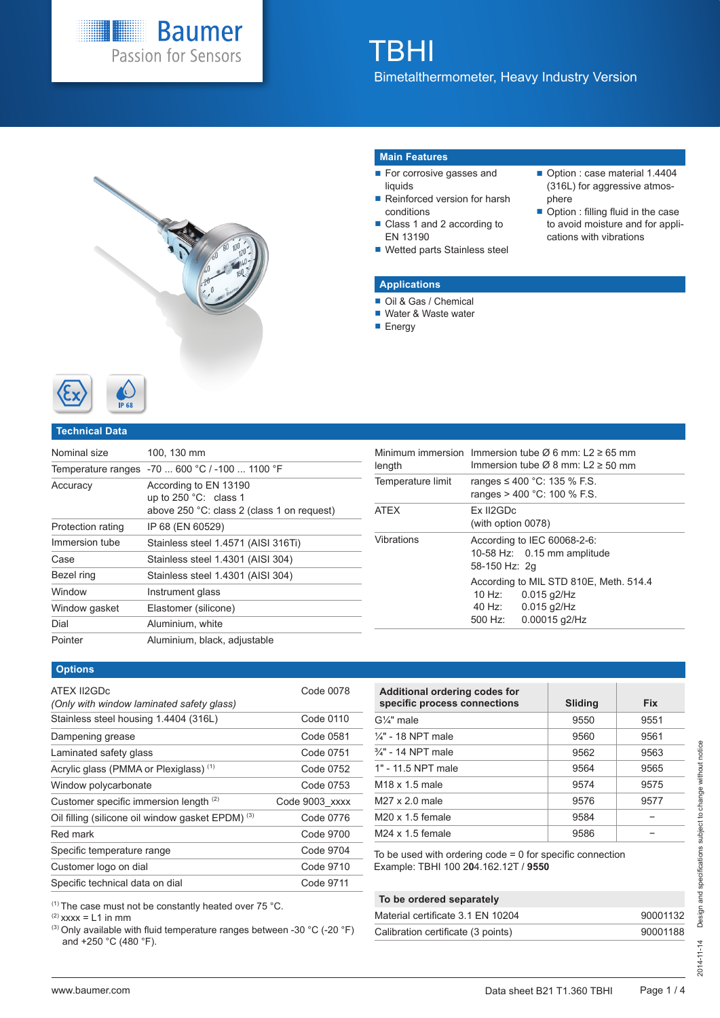

# TBHI

Bimetalthermometer, Heavy Industry Version



#### **Main Features**

- For corrosive gasses and liquids
- Reinforced version for harsh conditions
- Class 1 and 2 according to EN 13190
- Wetted parts Stainless steel

#### Option : case material 1.4404 (316L) for aggressive atmosphere

■ Option : filling fluid in the case to avoid moisture and for applications with vibrations

## **Applications**

- Oil & Gas / Chemical
- Water & Waste water
- **Energy**



#### **Technical Data**

| Nominal size      | 100, 130 mm                                                                                     |
|-------------------|-------------------------------------------------------------------------------------------------|
|                   | Temperature ranges -70  600 °C / -100  1100 °F                                                  |
| Accuracy          | According to EN 13190<br>up to $250 °C$ : class 1<br>above 250 °C: class 2 (class 1 on request) |
| Protection rating | IP 68 (EN 60529)                                                                                |
| Immersion tube    | Stainless steel 1.4571 (AISI 316Ti)                                                             |
| Case              | Stainless steel 1.4301 (AISI 304)                                                               |
| Bezel ring        | Stainless steel 1.4301 (AISI 304)                                                               |
| Window            | Instrument glass                                                                                |
| Window gasket     | Elastomer (silicone)                                                                            |
| Dial              | Aluminium, white                                                                                |
| Pointer           | Aluminium, black, adjustable                                                                    |

| length            |                                                                             | Minimum immersion Immersion tube $\varnothing$ 6 mm: L2 $\geq$ 65 mm<br>Immersion tube $\varnothing$ 8 mm: L2 $\geq$ 50 mm |  |  |  |  |  |
|-------------------|-----------------------------------------------------------------------------|----------------------------------------------------------------------------------------------------------------------------|--|--|--|--|--|
| Temperature limit |                                                                             | ranges ≤ 400 °C: 135 % F.S.<br>ranges $> 400$ °C: 100 % F.S.                                                               |  |  |  |  |  |
| <b>ATEX</b>       | Ex II2GDc<br>(with option 0078)                                             |                                                                                                                            |  |  |  |  |  |
| Vibrations        | According to IEC 60068-2-6:<br>10-58 Hz: 0.15 mm amplitude<br>58-150 Hz: 2g |                                                                                                                            |  |  |  |  |  |
|                   | 10 Hz:<br>40 Hz:<br>500 Hz:                                                 | According to MIL STD 810E, Meth. 514.4<br>$0.015$ q $2$ /Hz<br>$0.015$ q $2/Hz$<br>0.00015 g2/Hz                           |  |  |  |  |  |

#### **Options**

| ATEX II2GDc<br>(Only with window laminated safety glass) | Code 0078      |
|----------------------------------------------------------|----------------|
| Stainless steel housing 1.4404 (316L)                    | Code 0110      |
| Dampening grease                                         | Code 0581      |
| Laminated safety glass                                   | Code 0751      |
| Acrylic glass (PMMA or Plexiglass) <sup>(1)</sup>        | Code 0752      |
| Window polycarbonate                                     | Code 0753      |
| Customer specific immersion length (2)                   | Code 9003 xxxx |
| Oil filling (silicone oil window gasket EPDM) (3)        | Code 0776      |
| Red mark                                                 | Code 9700      |
| Specific temperature range                               | Code 9704      |
| Customer logo on dial                                    | Code 9710      |
| Specific technical data on dial                          | Code 9711      |

| Additional ordering codes for<br>specific process connections | Sliding | <b>Fix</b> |
|---------------------------------------------------------------|---------|------------|
| $G\mathcal{U}$ " male                                         | 9550    | 9551       |
| $\frac{1}{4}$ " - 18 NPT male                                 | 9560    | 9561       |
| 3/4" - 14 NPT male                                            | 9562    | 9563       |
| 1" - 11.5 NPT male                                            | 9564    | 9565       |
| $M18 \times 1.5$ male                                         | 9574    | 9575       |
| $M27 \times 2.0$ male                                         | 9576    | 9577       |
| $M20 \times 1.5$ female                                       | 9584    |            |
| $M24 \times 1.5$ female                                       | 9586    |            |

To be used with ordering code = 0 for specific connection Example: TBHI 100 2**0**4.162.12T / **9550**

#### **To be ordered separately**

| Material certificate 3.1 EN 10204  | 90001132 |
|------------------------------------|----------|
| Calibration certificate (3 points) | 90001188 |

|        |  | $(1)$ The case must not be constantly heated over 75 °C. |  |  |
|--------|--|----------------------------------------------------------|--|--|
| $\sim$ |  |                                                          |  |  |

 $(2)$  xxxx = L1 in mm

(3) Only available with fluid temperature ranges between -30 °C (-20 °F) and +250 °C (480 °F).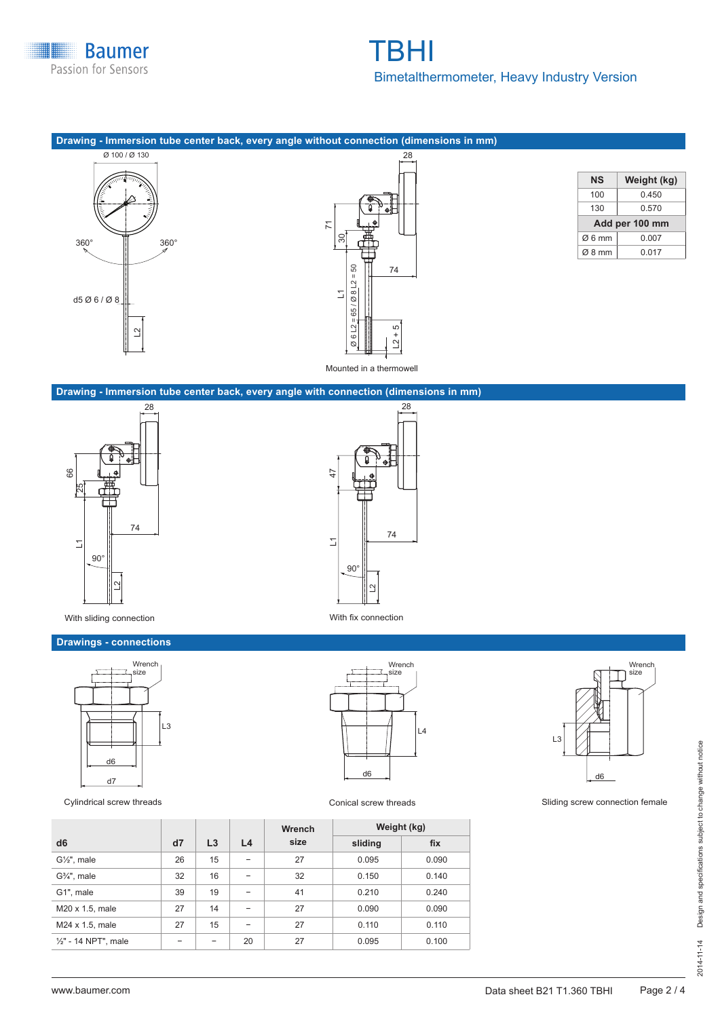

# TBHI Bimetalthermometer, Heavy Industry Version

## **Drawing - Immersion tube center back, every angle without connection (dimensions in mm)**





| NS             | Weight (kg) |  |  |  |  |  |  |
|----------------|-------------|--|--|--|--|--|--|
| 100            | 0.450       |  |  |  |  |  |  |
| 130            | 0.570       |  |  |  |  |  |  |
| Add per 100 mm |             |  |  |  |  |  |  |
| Ø6mm           | 0.007       |  |  |  |  |  |  |
| Ø8 mm          | 0.017       |  |  |  |  |  |  |

#### **Drawing - Immersion tube center back, every angle with connection (dimensions in mm)**





With sliding connection With fix connection

# **Drawings - connections**





|                       |    |    |                          | <b>Wrench</b> |         | Weight (kg) |
|-----------------------|----|----|--------------------------|---------------|---------|-------------|
| d <sub>6</sub>        | d7 | L3 | L4                       | size          | sliding | fix         |
| $G\frac{1}{2}$ , male | 26 | 15 | $\overline{\phantom{0}}$ | 27            | 0.095   | 0.090       |
| $G3/4$ ", male        | 32 | 16 | $\overline{\phantom{0}}$ | 32            | 0.150   | 0.140       |
| G1", male             | 39 | 19 | -                        | 41            | 0.210   | 0.240       |
| M20 x 1.5, male       | 27 | 14 | -                        | 27            | 0.090   | 0.090       |
| M24 x 1.5, male       | 27 | 15 |                          | 27            | 0.110   | 0.110       |
| 1/2" - 14 NPT", male  |    | -  | 20                       | 27            | 0.095   | 0.100       |



Cylindrical screw threads **Conical screw threads** Conical screw threads Sliding screw connection female

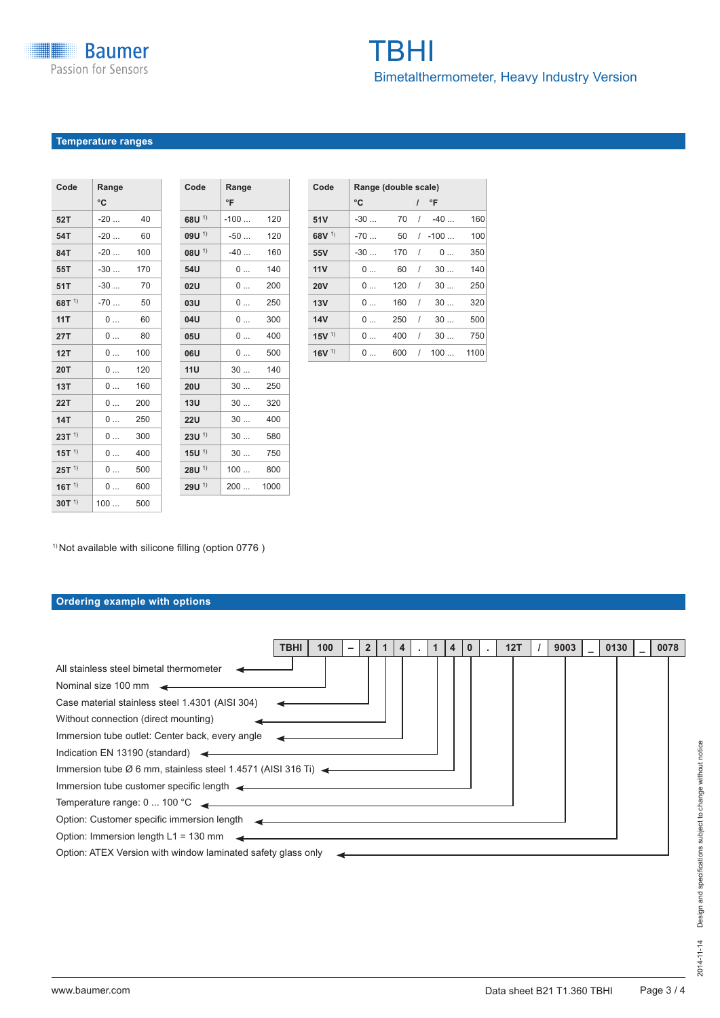## Temperature ranges

| Code                | Range |     |  |
|---------------------|-------|-----|--|
|                     | °C    |     |  |
| 52T                 | $-20$ | 40  |  |
| 54T                 | $-20$ | 60  |  |
| 84T                 | $-20$ | 100 |  |
| 55T                 | $-30$ | 170 |  |
| 51T                 | $-30$ | 70  |  |
| 68T $1)$            | $-70$ | 50  |  |
| 11T                 | 0     | 60  |  |
| <b>27T</b>          | 0     | 80  |  |
| 12T                 | 0     | 100 |  |
| <b>20T</b>          | 0     | 120 |  |
| 13T                 | 0     | 160 |  |
| <b>22T</b>          | 0     | 200 |  |
| <b>14T</b>          | 0     | 250 |  |
| $23T$ <sup>1)</sup> | 0     | 300 |  |
| $15T^{1}$           | 0     | 400 |  |
| $25T$ <sup>1)</sup> | 0     | 500 |  |
| $16T^{1}$           | 0     | 600 |  |
| $30T^{1}$           | 100   | 500 |  |

| Code                | Range<br>°F |      |
|---------------------|-------------|------|
| $68U$ <sup>1)</sup> | $-100$      | 120  |
| $09U$ <sup>1)</sup> | $-50$       | 120  |
| $08U$ <sup>1)</sup> | $-40$       | 160  |
| 54U                 | 0           | 140  |
| 02U                 | 0           | 200  |
| <b>03U</b>          | 0           | 250  |
| 04U                 | 0           | 300  |
| 05U                 | 0           | 400  |
| <b>06U</b>          | 0           | 500  |
| 11U                 | 30          | 140  |
| 20U                 | 30          | 250  |
| 13U                 | 30          | 320  |
| <b>22U</b>          | 30          | 400  |
| $23U$ <sup>1)</sup> | 30          | 580  |
| $15U$ <sup>1)</sup> | 30          | 750  |
| $28U$ <sup>1)</sup> | 100         | 800  |
| $29U^{1}$           | 200         | 1000 |

| Code                | Range (double scale) |     |          |          |      |
|---------------------|----------------------|-----|----------|----------|------|
|                     | °C                   |     |          | °F       |      |
| 51V                 | $-30$                | 70  | $\prime$ | -40      | 160  |
| $68V$ <sup>1)</sup> | $-70$                | 50  |          | $/ -100$ | 100  |
| 55V                 | $-30$                | 170 | $\prime$ | 0        | 350  |
| 11V                 | 0                    | 60  | $\prime$ | 30       | 140  |
| <b>20V</b>          | 0                    | 120 | $\prime$ | 30       | 250  |
| 13V                 | 0                    | 160 | $\prime$ | 30       | 320  |
| 14V                 | 0                    | 250 | $\prime$ | 30       | 500  |
| $15V$ <sup>1)</sup> | 0                    | 400 | 1        | 30       | 750  |
| $16V$ <sup>1)</sup> | 0                    | 600 | $\prime$ | 100      | 1100 |

<sup>1)</sup> Not available with silicone filling (option 0776)

# Ordering example with options

|                                                                                                                                                                                                                                                                                                                                                                                                                                                                                                                                                                                  | 100<br>TBHI | $\overline{2}$ |  | 4 |  | 12T | 9003 | 0130 | 0078 |
|----------------------------------------------------------------------------------------------------------------------------------------------------------------------------------------------------------------------------------------------------------------------------------------------------------------------------------------------------------------------------------------------------------------------------------------------------------------------------------------------------------------------------------------------------------------------------------|-------------|----------------|--|---|--|-----|------|------|------|
| All stainless steel bimetal thermometer<br>Nominal size 100 mm<br>Case material stainless steel 1.4301 (AISI 304)<br>Without connection (direct mounting)<br>Immersion tube outlet: Center back, every angle<br>Indication EN 13190 (standard) $\leftarrow$<br>Immersion tube $\varnothing$ 6 mm, stainless steel 1.4571 (AISI 316 Ti)<br>Immersion tube customer specific length <<br>Temperature range: 0  100 °C <b>4 = 0  100 °C + 0  100 °C</b> + 0  100 °C + 0  100 °C + 0  100 °C + 0  100 °C + 0  100 °C + 0  100 °C + 0  100 °C + 0  100 °C + 0  100 °C + 0  100 °C + 0 |             |                |  |   |  |     |      |      |      |
| Option: Customer specific immersion length example and the control of the control of the control of the control of the control of the control of the control of the control of the control of the control of the control of th<br>Option: Immersion length L1 = 130 mm $\rightarrow$                                                                                                                                                                                                                                                                                             |             |                |  |   |  |     |      |      |      |
| Option: ATEX Version with window laminated safety glass only                                                                                                                                                                                                                                                                                                                                                                                                                                                                                                                     |             |                |  |   |  |     |      |      |      |